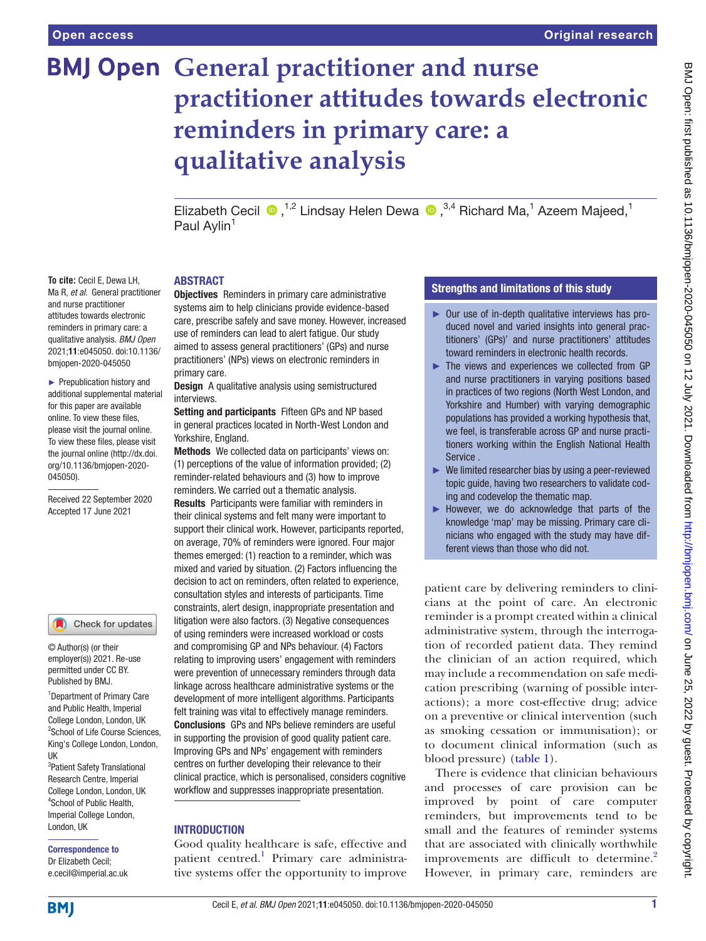**To cite:** Cecil E, Dewa LH, Ma R, *et al*. General practitioner and nurse practitioner attitudes towards electronic reminders in primary care: a qualitative analysis. *BMJ Open* 2021;11:e045050. doi:10.1136/ bmjopen-2020-045050 ► Prepublication history and additional supplemental material for this paper are available online. To view these files, please visit the journal online. To view these files, please visit the journal online (http://dx.doi. org/10.1136/bmjopen-2020-

045050).

Received 22 September 2020 Accepted 17 June 2021

# **BMJ Open General practitioner and nurse practitioner attitudes towards electronic reminders in primary care: a qualitative analysis**

ElizabethCecil  $\bullet$ ,<sup>1,2</sup> Lindsay Helen Dewa  $\bullet$ ,<sup>3,4</sup> Richard Ma,<sup>1</sup> Azeem Majeed,<sup>1</sup> Paul Aylin<sup>1</sup>

#### ABSTRACT

**Objectives** Reminders in primary care administrative systems aim to help clinicians provide evidence-based care, prescribe safely and save money. However, increased use of reminders can lead to alert fatigue. Our study aimed to assess general practitioners' (GPs) and nurse practitioners' (NPs) views on electronic reminders in primary care.

**Design** A qualitative analysis using semistructured interviews.

Setting and participants Fifteen GPs and NP based in general practices located in North-West London and Yorkshire, England.

Methods We collected data on participants' views on: (1) perceptions of the value of information provided; (2) reminder-related behaviours and (3) how to improve reminders. We carried out a thematic analysis.

Results Participants were familiar with reminders in their clinical systems and felt many were important to support their clinical work. However, participants reported, on average, 70% of reminders were ignored. Four major themes emerged: (1) reaction to a reminder, which was mixed and varied by situation. (2) Factors influencing the decision to act on reminders, often related to experience, consultation styles and interests of participants. Time constraints, alert design, inappropriate presentation and litigation were also factors. (3) Negative consequences of using reminders were increased workload or costs and compromising GP and NPs behaviour. (4) Factors relating to improving users' engagement with reminders were prevention of unnecessary reminders through data linkage across healthcare administrative systems or the development of more intelligent algorithms. Participants felt training was vital to effectively manage reminders. Conclusions GPs and NPs believe reminders are useful in supporting the provision of good quality patient care. Improving GPs and NPs' engagement with reminders centres on further developing their relevance to their clinical practice, which is personalised, considers cognitive workflow and suppresses inappropriate presentation.

#### **INTRODUCTION**

Good quality healthcare is safe, effective and patient centred.<sup>1</sup> Primary care administrative systems offer the opportunity to improve

#### Strengths and limitations of this study

- ► Our use of in-depth qualitative interviews has produced novel and varied insights into general practitioners' (GPs)' and nurse practitioners' attitudes toward reminders in electronic health records.
- ► The views and experiences we collected from GP and nurse practitioners in varying positions based in practices of two regions (North West London, and Yorkshire and Humber) with varying demographic populations has provided a working hypothesis that, we feel, is transferable across GP and nurse practitioners working within the English National Health Service .
- ► We limited researcher bias by using a peer-reviewed topic guide, having two researchers to validate coding and codevelop the thematic map.
- ► However, we do acknowledge that parts of the knowledge 'map' may be missing. Primary care clinicians who engaged with the study may have different views than those who did not.

patient care by delivering reminders to clinicians at the point of care. An electronic reminder is a prompt created within a clinical administrative system, through the interrogation of recorded patient data. They remind the clinician of an action required, which may include a recommendation on safe medication prescribing (warning of possible interactions); a more cost-effective drug; advice on a preventive or clinical intervention (such as smoking cessation or immunisation); or to document clinical information (such as blood pressure) ([table](#page-1-0) 1).

There is evidence that clinician behaviours and processes of care provision can be improved by point of care computer reminders, but improvements tend to be small and the features of reminder systems that are associated with clinically worthwhile improvements are difficult to determine.<sup>2</sup> However, in primary care, reminders are

King's College London, London, UK

© Author(s) (or their employer(s)) 2021. Re-use permitted under CC BY. Published by BMJ.

3 Patient Safety Translational Research Centre, Imperial College London, London, UK 4 School of Public Health, Imperial College London, London, UK

1 Department of Primary Care and Public Health, Imperial College London, London, UK 2 School of Life Course Sciences,

Check for updates

Correspondence to Dr Elizabeth Cecil; e.cecil@imperial.ac.uk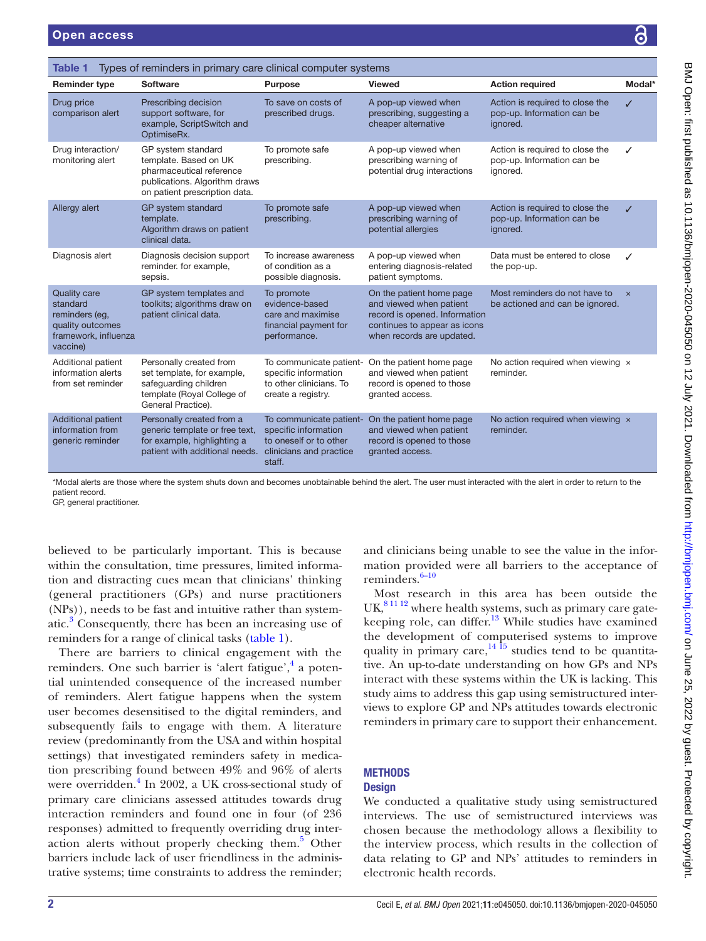<span id="page-1-0"></span>

| <b>Action required</b><br>Modal*<br><b>Reminder type</b><br><b>Software</b><br>Purpose<br><b>Viewed</b><br>Drug price<br>Prescribing decision<br>To save on costs of<br>A pop-up viewed when<br>Action is required to close the<br>J<br>support software, for<br>prescribing, suggesting a<br>pop-up. Information can be<br>comparison alert<br>prescribed drugs.<br>example, ScriptSwitch and<br>cheaper alternative<br>ignored.<br>OptimiseRx.<br>Drug interaction/<br>GP system standard<br>To promote safe<br>A pop-up viewed when<br>Action is required to close the<br>✓<br>prescribing warning of<br>monitoring alert<br>template. Based on UK<br>prescribing.<br>pop-up. Information can be<br>pharmaceutical reference<br>potential drug interactions<br>ignored.<br>publications. Algorithm draws<br>on patient prescription data.<br>Allergy alert<br>GP system standard<br>To promote safe<br>A pop-up viewed when<br>Action is required to close the<br>$\checkmark$<br>prescribing warning of<br>pop-up. Information can be<br>template.<br>prescribing.<br>Algorithm draws on patient<br>potential allergies<br>ignored.<br>clinical data.<br>Diagnosis alert<br>A pop-up viewed when<br>Data must be entered to close<br>Diagnosis decision support<br>To increase awareness<br>✓ | Types of reminders in primary care clinical computer systems<br><b>Table 1</b> |  |  |  |  |  |  |
|---------------------------------------------------------------------------------------------------------------------------------------------------------------------------------------------------------------------------------------------------------------------------------------------------------------------------------------------------------------------------------------------------------------------------------------------------------------------------------------------------------------------------------------------------------------------------------------------------------------------------------------------------------------------------------------------------------------------------------------------------------------------------------------------------------------------------------------------------------------------------------------------------------------------------------------------------------------------------------------------------------------------------------------------------------------------------------------------------------------------------------------------------------------------------------------------------------------------------------------------------------------------------------------------------|--------------------------------------------------------------------------------|--|--|--|--|--|--|
|                                                                                                                                                                                                                                                                                                                                                                                                                                                                                                                                                                                                                                                                                                                                                                                                                                                                                                                                                                                                                                                                                                                                                                                                                                                                                                   |                                                                                |  |  |  |  |  |  |
|                                                                                                                                                                                                                                                                                                                                                                                                                                                                                                                                                                                                                                                                                                                                                                                                                                                                                                                                                                                                                                                                                                                                                                                                                                                                                                   |                                                                                |  |  |  |  |  |  |
|                                                                                                                                                                                                                                                                                                                                                                                                                                                                                                                                                                                                                                                                                                                                                                                                                                                                                                                                                                                                                                                                                                                                                                                                                                                                                                   |                                                                                |  |  |  |  |  |  |
|                                                                                                                                                                                                                                                                                                                                                                                                                                                                                                                                                                                                                                                                                                                                                                                                                                                                                                                                                                                                                                                                                                                                                                                                                                                                                                   |                                                                                |  |  |  |  |  |  |
| reminder. for example,<br>of condition as a<br>entering diagnosis-related<br>the pop-up.<br>patient symptoms.<br>possible diagnosis.<br>sepsis.                                                                                                                                                                                                                                                                                                                                                                                                                                                                                                                                                                                                                                                                                                                                                                                                                                                                                                                                                                                                                                                                                                                                                   |                                                                                |  |  |  |  |  |  |
| GP system templates and<br>Most reminders do not have to<br><b>Quality care</b><br>On the patient home page<br>To promote<br>$\times$<br>toolkits; algorithms draw on<br>evidence-based<br>and viewed when patient<br>be actioned and can be ignored.<br>standard<br>patient clinical data.<br>record is opened. Information<br>care and maximise<br>reminders (eg,<br>continues to appear as icons<br>quality outcomes<br>financial payment for<br>framework, influenza<br>when records are updated.<br>performance.<br>vaccine)                                                                                                                                                                                                                                                                                                                                                                                                                                                                                                                                                                                                                                                                                                                                                                 |                                                                                |  |  |  |  |  |  |
| Personally created from<br>No action required when viewing $\times$<br>Additional patient<br>To communicate patient-<br>On the patient home page<br>information alerts<br>set template, for example,<br>specific information<br>and viewed when patient<br>reminder.<br>to other clinicians. To<br>safeguarding children<br>record is opened to those<br>from set reminder<br>template (Royal College of<br>create a registry.<br>granted access.<br>General Practice).                                                                                                                                                                                                                                                                                                                                                                                                                                                                                                                                                                                                                                                                                                                                                                                                                           |                                                                                |  |  |  |  |  |  |
| <b>Additional patient</b><br>Personally created from a<br>To communicate patient-<br>On the patient home page<br>No action required when viewing $\times$<br>specific information<br>information from<br>generic template or free text,<br>and viewed when patient<br>reminder.<br>for example, highlighting a<br>to oneself or to other<br>record is opened to those<br>generic reminder<br>patient with additional needs.<br>clinicians and practice<br>granted access.<br>staff.                                                                                                                                                                                                                                                                                                                                                                                                                                                                                                                                                                                                                                                                                                                                                                                                               |                                                                                |  |  |  |  |  |  |

\*Modal alerts are those where the system shuts down and becomes unobtainable behind the alert. The user must interacted with the alert in order to return to the patient record.

GP, general practitioner.

believed to be particularly important. This is because within the consultation, time pressures, limited information and distracting cues mean that clinicians' thinking (general practitioners (GPs) and nurse practitioners (NPs)), needs to be fast and intuitive rather than systematic.<sup>3</sup> Consequently, there has been an increasing use of reminders for a range of clinical tasks ([table](#page-1-0) 1).

There are barriers to clinical engagement with the reminders. One such barrier is 'alert fatigue',<sup>[4](#page-8-3)</sup> a potential unintended consequence of the increased number of reminders. Alert fatigue happens when the system user becomes desensitised to the digital reminders, and subsequently fails to engage with them. A literature review (predominantly from the USA and within hospital settings) that investigated reminders safety in medication prescribing found between 49% and 96% of alerts were overridden.<sup>[4](#page-8-3)</sup> In 2002, a UK cross-sectional study of primary care clinicians assessed attitudes towards drug interaction reminders and found one in four (of 236 responses) admitted to frequently overriding drug inter-action alerts without properly checking them.<sup>[5](#page-8-4)</sup> Other barriers include lack of user friendliness in the administrative systems; time constraints to address the reminder;

and clinicians being unable to see the value in the information provided were all barriers to the acceptance of reminders. $6-10$ 

Most research in this area has been outside the UK,<sup>81112</sup> where health systems, such as primary care gatekeeping role, can differ. $13$  While studies have examined the development of computerised systems to improve quality in primary care,  $14\frac{15}{15}$  studies tend to be quantitative. An up-to-date understanding on how GPs and NPs interact with these systems within the UK is lacking. This study aims to address this gap using semistructured interviews to explore GP and NPs attitudes towards electronic reminders in primary care to support their enhancement.

## **METHODS**

#### **Design**

We conducted a qualitative study using semistructured interviews. The use of semistructured interviews was chosen because the methodology allows a flexibility to the interview process, which results in the collection of data relating to GP and NPs' attitudes to reminders in electronic health records.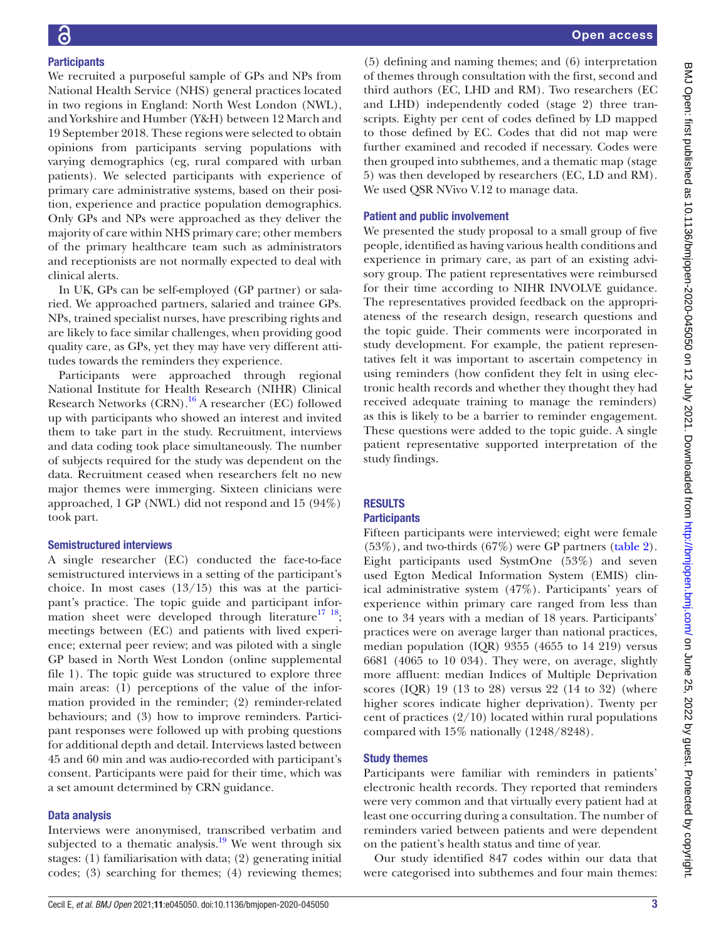We recruited a purposeful sample of GPs and NPs from National Health Service (NHS) general practices located in two regions in England: North West London (NWL), and Yorkshire and Humber (Y&H) between 12 March and 19 September 2018. These regions were selected to obtain opinions from participants serving populations with varying demographics (eg, rural compared with urban patients). We selected participants with experience of primary care administrative systems, based on their position, experience and practice population demographics. Only GPs and NPs were approached as they deliver the majority of care within NHS primary care; other members of the primary healthcare team such as administrators and receptionists are not normally expected to deal with clinical alerts.

In UK, GPs can be self-employed (GP partner) or salaried. We approached partners, salaried and trainee GPs. NPs, trained specialist nurses, have prescribing rights and are likely to face similar challenges, when providing good quality care, as GPs, yet they may have very different attitudes towards the reminders they experience.

Participants were approached through regional National Institute for Health Research (NIHR) Clinical Research Networks  $(CRN)$ .<sup>16</sup> A researcher (EC) followed up with participants who showed an interest and invited them to take part in the study. Recruitment, interviews and data coding took place simultaneously. The number of subjects required for the study was dependent on the data. Recruitment ceased when researchers felt no new major themes were immerging. Sixteen clinicians were approached, 1 GP (NWL) did not respond and 15 (94%) took part.

# Semistructured interviews

A single researcher (EC) conducted the face-to-face semistructured interviews in a setting of the participant's choice. In most cases  $(13/15)$  this was at the participant's practice. The topic guide and participant information sheet were developed through literature<sup>17</sup> <sup>18</sup>; meetings between (EC) and patients with lived experience; external peer review; and was piloted with a single GP based in North West London [\(online supplemental](https://dx.doi.org/10.1136/bmjopen-2020-045050) [file 1](https://dx.doi.org/10.1136/bmjopen-2020-045050)). The topic guide was structured to explore three main areas: (1) perceptions of the value of the information provided in the reminder; (2) reminder-related behaviours; and (3) how to improve reminders. Participant responses were followed up with probing questions for additional depth and detail. Interviews lasted between 45 and 60 min and was audio-recorded with participant's consent. Participants were paid for their time, which was a set amount determined by CRN guidance.

# Data analysis

Interviews were anonymised, transcribed verbatim and subjected to a thematic analysis.<sup>[19](#page-9-4)</sup> We went through six stages: (1) familiarisation with data; (2) generating initial codes; (3) searching for themes; (4) reviewing themes;

(5) defining and naming themes; and (6) interpretation of themes through consultation with the first, second and third authors (EC, LHD and RM). Two researchers (EC and LHD) independently coded (stage 2) three transcripts. Eighty per cent of codes defined by LD mapped to those defined by EC. Codes that did not map were further examined and recoded if necessary. Codes were then grouped into subthemes, and a thematic map (stage 5) was then developed by researchers (EC, LD and RM). We used QSR NVivo V.12 to manage data.

# Patient and public involvement

We presented the study proposal to a small group of five people, identified as having various health conditions and experience in primary care, as part of an existing advisory group. The patient representatives were reimbursed for their time according to NIHR INVOLVE guidance. The representatives provided feedback on the appropriateness of the research design, research questions and the topic guide. Their comments were incorporated in study development. For example, the patient representatives felt it was important to ascertain competency in using reminders (how confident they felt in using electronic health records and whether they thought they had received adequate training to manage the reminders) as this is likely to be a barrier to reminder engagement. These questions were added to the topic guide. A single patient representative supported interpretation of the study findings.

# RESULTS

## **Participants**

Fifteen participants were interviewed; eight were female (53%), and two-thirds (67%) were GP partners ([table](#page-3-0) 2). Eight participants used SystmOne (53%) and seven used Egton Medical Information System (EMIS) clinical administrative system (47%). Participants' years of experience within primary care ranged from less than one to 34 years with a median of 18 years. Participants' practices were on average larger than national practices, median population (IQR) 9355 (4655 to 14 219) versus 6681 (4065 to 10 034). They were, on average, slightly more affluent: median Indices of Multiple Deprivation scores (IQR) 19 (13 to 28) versus 22 (14 to 32) (where higher scores indicate higher deprivation). Twenty per cent of practices  $(2/10)$  located within rural populations compared with 15% nationally (1248/8248).

## Study themes

Participants were familiar with reminders in patients' electronic health records. They reported that reminders were very common and that virtually every patient had at least one occurring during a consultation. The number of reminders varied between patients and were dependent on the patient's health status and time of year.

Our study identified 847 codes within our data that were categorised into subthemes and four main themes: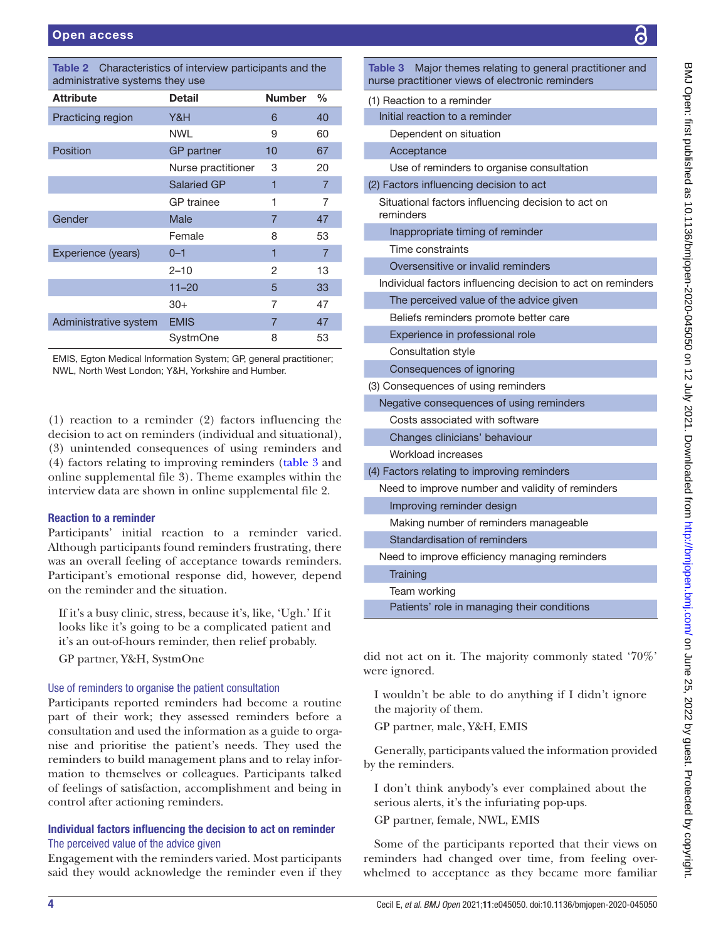<span id="page-3-0"></span>

| <b>Table 2</b> Characteristics of interview participants and the |
|------------------------------------------------------------------|
| administrative systems they use                                  |

| <b>Attribute</b>      | Detail             | <b>Number</b>  | %              |
|-----------------------|--------------------|----------------|----------------|
| Practicing region     | Y&H                | 6              | 40             |
|                       | <b>NWL</b>         | 9              | 60             |
| Position              | <b>GP</b> partner  | 10             | 67             |
|                       | Nurse practitioner | 3              | 20             |
|                       | <b>Salaried GP</b> | 1              | $\overline{7}$ |
|                       | <b>GP</b> trainee  | 1              | 7              |
| Gender                | Male               | $\overline{7}$ | 47             |
|                       | Female             | 8              | 53             |
| Experience (years)    | $0 - 1$            | 1              | $\overline{7}$ |
|                       | $2 - 10$           | 2              | 13             |
|                       | $11 - 20$          | 5              | 33             |
|                       | $30+$              | 7              | 47             |
| Administrative system | <b>EMIS</b>        | $\overline{7}$ | 47             |
|                       | SystmOne           | 8              | 53             |
|                       |                    |                |                |

EMIS, Egton Medical Information System; GP, general practitioner; NWL, North West London; Y&H, Yorkshire and Humber.

(1) reaction to a reminder (2) factors influencing the decision to act on reminders (individual and situational), (3) unintended consequences of using reminders and (4) factors relating to improving reminders ([table](#page-3-1) 3 and [online supplemental file 3\)](https://dx.doi.org/10.1136/bmjopen-2020-045050). Theme examples within the interview data are shown in [online supplemental file 2](https://dx.doi.org/10.1136/bmjopen-2020-045050).

#### Reaction to a reminder

Participants' initial reaction to a reminder varied. Although participants found reminders frustrating, there was an overall feeling of acceptance towards reminders. Participant's emotional response did, however, depend on the reminder and the situation.

If it's a busy clinic, stress, because it's, like, 'Ugh.' If it looks like it's going to be a complicated patient and it's an out-of-hours reminder, then relief probably.

GP partner, Y&H, SystmOne

#### Use of reminders to organise the patient consultation

Participants reported reminders had become a routine part of their work; they assessed reminders before a consultation and used the information as a guide to organise and prioritise the patient's needs. They used the reminders to build management plans and to relay information to themselves or colleagues. Participants talked of feelings of satisfaction, accomplishment and being in control after actioning reminders.

## Individual factors influencing the decision to act on reminder The perceived value of the advice given

Engagement with the reminders varied. Most participants said they would acknowledge the reminder even if they

<span id="page-3-1"></span>

| Major themes relating to general practitioner and<br>Table 3<br>nurse practitioner views of electronic reminders |
|------------------------------------------------------------------------------------------------------------------|
| (1) Reaction to a reminder                                                                                       |
| Initial reaction to a reminder                                                                                   |
| Dependent on situation                                                                                           |
| Acceptance                                                                                                       |
| Use of reminders to organise consultation                                                                        |
| (2) Factors influencing decision to act                                                                          |
| Situational factors influencing decision to act on<br>reminders                                                  |
| Inappropriate timing of reminder                                                                                 |
| Time constraints                                                                                                 |
| Oversensitive or invalid reminders                                                                               |
| Individual factors influencing decision to act on reminders                                                      |
| The perceived value of the advice given                                                                          |
| Beliefs reminders promote better care                                                                            |
| Experience in professional role                                                                                  |
| Consultation style                                                                                               |
| Consequences of ignoring                                                                                         |
| (3) Consequences of using reminders                                                                              |
| Negative consequences of using reminders                                                                         |
| Costs associated with software                                                                                   |
| Changes clinicians' behaviour                                                                                    |
| Workload increases                                                                                               |
| (4) Factors relating to improving reminders                                                                      |
| Need to improve number and validity of reminders                                                                 |
| Improving reminder design                                                                                        |
| Making number of reminders manageable                                                                            |
| Standardisation of reminders                                                                                     |
| Need to improve efficiency managing reminders                                                                    |
| Training                                                                                                         |
| Team working                                                                                                     |
| Patients' role in managing their conditions                                                                      |

did not act on it. The majority commonly stated '70%' were ignored.

I wouldn't be able to do anything if I didn't ignore the majority of them.

GP partner, male, Y&H, EMIS

Generally, participants valued the information provided by the reminders.

I don't think anybody's ever complained about the serious alerts, it's the infuriating pop-ups.

GP partner, female, NWL, EMIS

Some of the participants reported that their views on reminders had changed over time, from feeling overwhelmed to acceptance as they became more familiar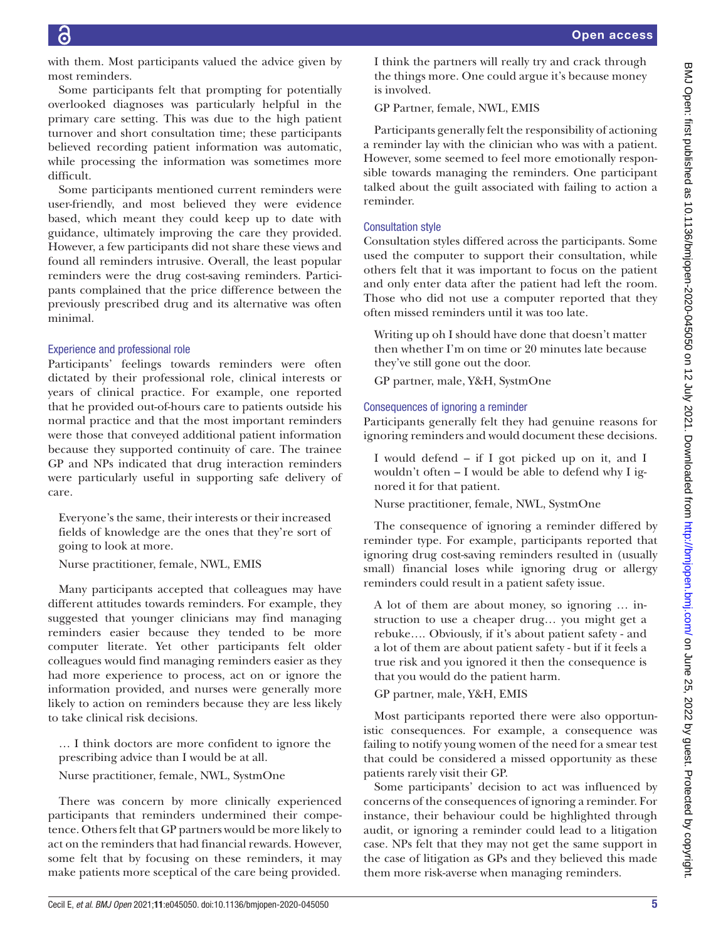with them. Most participants valued the advice given by most reminders.

Some participants felt that prompting for potentially overlooked diagnoses was particularly helpful in the primary care setting. This was due to the high patient turnover and short consultation time; these participants believed recording patient information was automatic, while processing the information was sometimes more difficult.

Some participants mentioned current reminders were user-friendly, and most believed they were evidence based, which meant they could keep up to date with guidance, ultimately improving the care they provided. However, a few participants did not share these views and found all reminders intrusive. Overall, the least popular reminders were the drug cost-saving reminders. Participants complained that the price difference between the previously prescribed drug and its alternative was often minimal.

#### Experience and professional role

Participants' feelings towards reminders were often dictated by their professional role, clinical interests or years of clinical practice. For example, one reported that he provided out-of-hours care to patients outside his normal practice and that the most important reminders were those that conveyed additional patient information because they supported continuity of care. The trainee GP and NPs indicated that drug interaction reminders were particularly useful in supporting safe delivery of care.

Everyone's the same, their interests or their increased fields of knowledge are the ones that they're sort of going to look at more.

Nurse practitioner, female, NWL, EMIS

Many participants accepted that colleagues may have different attitudes towards reminders. For example, they suggested that younger clinicians may find managing reminders easier because they tended to be more computer literate. Yet other participants felt older colleagues would find managing reminders easier as they had more experience to process, act on or ignore the information provided, and nurses were generally more likely to action on reminders because they are less likely to take clinical risk decisions.

… I think doctors are more confident to ignore the prescribing advice than I would be at all.

Nurse practitioner, female, NWL, SystmOne

There was concern by more clinically experienced participants that reminders undermined their competence. Others felt that GP partners would be more likely to act on the reminders that had financial rewards. However, some felt that by focusing on these reminders, it may make patients more sceptical of the care being provided.

I think the partners will really try and crack through the things more. One could argue it's because money is involved.

GP Partner, female, NWL, EMIS

Participants generally felt the responsibility of actioning a reminder lay with the clinician who was with a patient. However, some seemed to feel more emotionally responsible towards managing the reminders. One participant talked about the guilt associated with failing to action a reminder.

## Consultation style

Consultation styles differed across the participants. Some used the computer to support their consultation, while others felt that it was important to focus on the patient and only enter data after the patient had left the room. Those who did not use a computer reported that they often missed reminders until it was too late.

Writing up oh I should have done that doesn't matter then whether I'm on time or 20 minutes late because they've still gone out the door.

GP partner, male, Y&H, SystmOne

## Consequences of ignoring a reminder

Participants generally felt they had genuine reasons for ignoring reminders and would document these decisions.

I would defend – if I got picked up on it, and I wouldn't often – I would be able to defend why I ignored it for that patient.

Nurse practitioner, female, NWL, SystmOne

The consequence of ignoring a reminder differed by reminder type. For example, participants reported that ignoring drug cost-saving reminders resulted in (usually small) financial loses while ignoring drug or allergy reminders could result in a patient safety issue.

A lot of them are about money, so ignoring … instruction to use a cheaper drug… you might get a rebuke…. Obviously, if it's about patient safety - and a lot of them are about patient safety - but if it feels a true risk and you ignored it then the consequence is that you would do the patient harm.

GP partner, male, Y&H, EMIS

Most participants reported there were also opportunistic consequences. For example, a consequence was failing to notify young women of the need for a smear test that could be considered a missed opportunity as these patients rarely visit their GP.

Some participants' decision to act was influenced by concerns of the consequences of ignoring a reminder. For instance, their behaviour could be highlighted through audit, or ignoring a reminder could lead to a litigation case. NPs felt that they may not get the same support in the case of litigation as GPs and they believed this made them more risk-averse when managing reminders.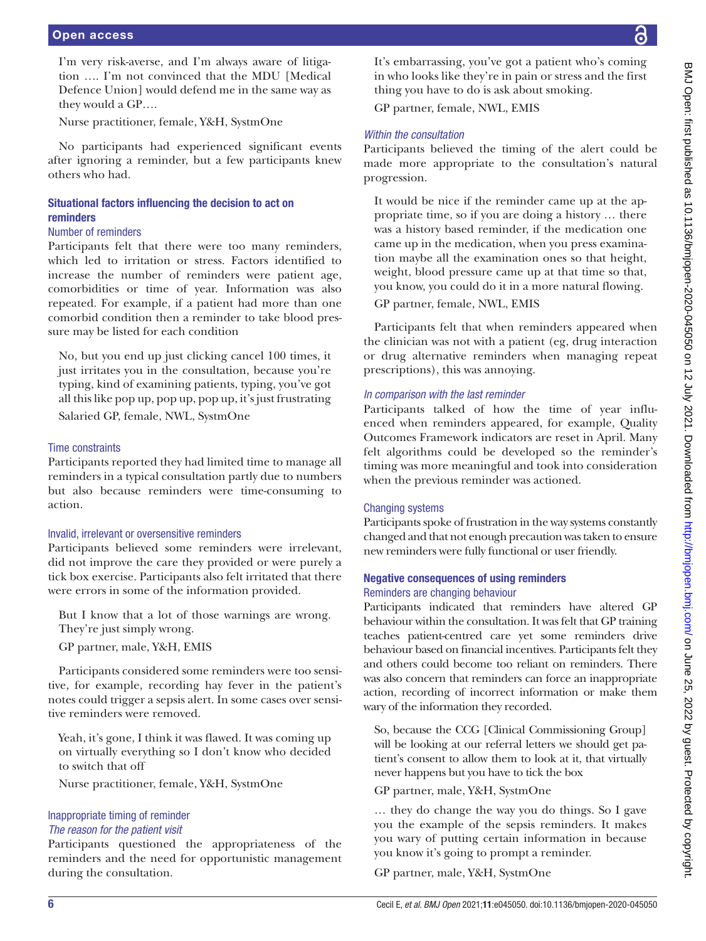I'm very risk-averse, and I'm always aware of litigation …. I'm not convinced that the MDU [Medical Defence Union] would defend me in the same way as they would a GP….

Nurse practitioner, female, Y&H, SystmOne

No participants had experienced significant events after ignoring a reminder, but a few participants knew others who had.

# Situational factors influencing the decision to act on reminders

## Number of reminders

Participants felt that there were too many reminders, which led to irritation or stress. Factors identified to increase the number of reminders were patient age, comorbidities or time of year. Information was also repeated. For example, if a patient had more than one comorbid condition then a reminder to take blood pressure may be listed for each condition

No, but you end up just clicking cancel 100 times, it just irritates you in the consultation, because you're typing, kind of examining patients, typing, you've got all this like pop up, pop up, pop up, it's just frustrating Salaried GP, female, NWL, SystmOne

## Time constraints

Participants reported they had limited time to manage all reminders in a typical consultation partly due to numbers but also because reminders were time-consuming to action.

## Invalid, irrelevant or oversensitive reminders

Participants believed some reminders were irrelevant, did not improve the care they provided or were purely a tick box exercise. Participants also felt irritated that there were errors in some of the information provided.

But I know that a lot of those warnings are wrong. They're just simply wrong.

GP partner, male, Y&H, EMIS

Participants considered some reminders were too sensitive, for example, recording hay fever in the patient's notes could trigger a sepsis alert. In some cases over sensitive reminders were removed.

Yeah, it's gone, I think it was flawed. It was coming up on virtually everything so I don't know who decided to switch that off

Nurse practitioner, female, Y&H, SystmOne

#### Inappropriate timing of reminder *The reason for the patient visit*

Participants questioned the appropriateness of the reminders and the need for opportunistic management during the consultation.

It's embarrassing, you've got a patient who's coming in who looks like they're in pain or stress and the first thing you have to do is ask about smoking.

GP partner, female, NWL, EMIS

# *Within the consultation*

Participants believed the timing of the alert could be made more appropriate to the consultation's natural progression.

It would be nice if the reminder came up at the appropriate time, so if you are doing a history … there was a history based reminder, if the medication one came up in the medication, when you press examination maybe all the examination ones so that height, weight, blood pressure came up at that time so that, you know, you could do it in a more natural flowing.

GP partner, female, NWL, EMIS

Participants felt that when reminders appeared when the clinician was not with a patient (eg, drug interaction or drug alternative reminders when managing repeat prescriptions), this was annoying.

# *In comparison with the last reminder*

Participants talked of how the time of year influenced when reminders appeared, for example, Quality Outcomes Framework indicators are reset in April. Many felt algorithms could be developed so the reminder's timing was more meaningful and took into consideration when the previous reminder was actioned.

## Changing systems

Participants spoke of frustration in the way systems constantly changed and that not enough precaution was taken to ensure new reminders were fully functional or user friendly.

## Negative consequences of using reminders Reminders are changing behaviour

Participants indicated that reminders have altered GP behaviour within the consultation. It was felt that GP training teaches patient-centred care yet some reminders drive behaviour based on financial incentives. Participants felt they and others could become too reliant on reminders. There was also concern that reminders can force an inappropriate action, recording of incorrect information or make them wary of the information they recorded.

So, because the CCG [Clinical Commissioning Group] will be looking at our referral letters we should get patient's consent to allow them to look at it, that virtually never happens but you have to tick the box

GP partner, male, Y&H, SystmOne

… they do change the way you do things. So I gave you the example of the sepsis reminders. It makes you wary of putting certain information in because you know it's going to prompt a reminder.

GP partner, male, Y&H, SystmOne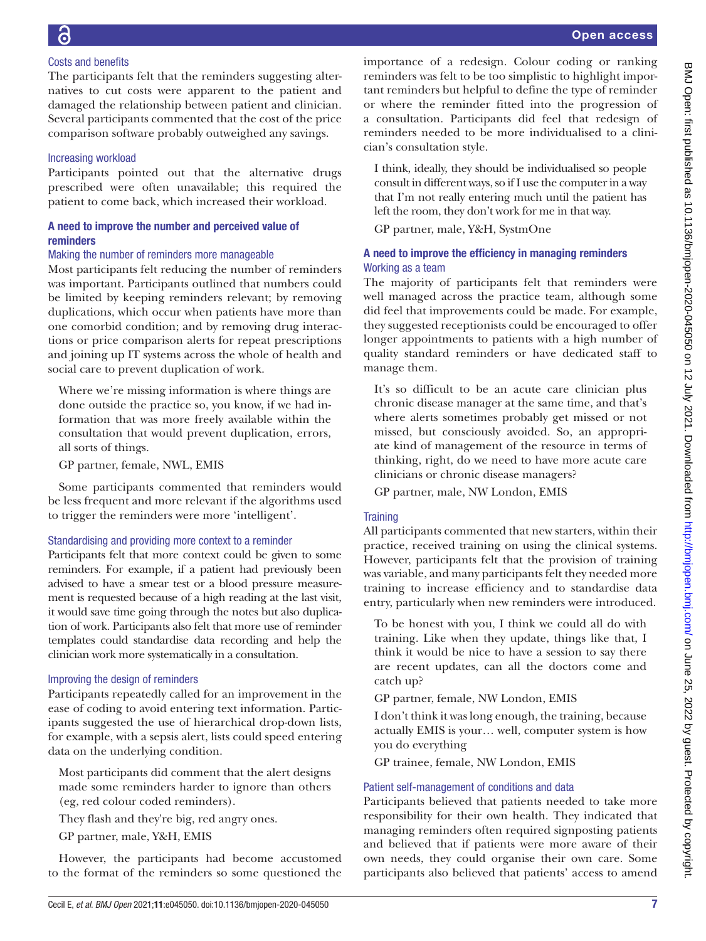# Costs and benefits

The participants felt that the reminders suggesting alternatives to cut costs were apparent to the patient and damaged the relationship between patient and clinician. Several participants commented that the cost of the price comparison software probably outweighed any savings.

# Increasing workload

Participants pointed out that the alternative drugs prescribed were often unavailable; this required the patient to come back, which increased their workload.

# A need to improve the number and perceived value of reminders

# Making the number of reminders more manageable

Most participants felt reducing the number of reminders was important. Participants outlined that numbers could be limited by keeping reminders relevant; by removing duplications, which occur when patients have more than one comorbid condition; and by removing drug interactions or price comparison alerts for repeat prescriptions and joining up IT systems across the whole of health and social care to prevent duplication of work.

Where we're missing information is where things are done outside the practice so, you know, if we had information that was more freely available within the consultation that would prevent duplication, errors, all sorts of things.

GP partner, female, NWL, EMIS

Some participants commented that reminders would be less frequent and more relevant if the algorithms used to trigger the reminders were more 'intelligent'.

# Standardising and providing more context to a reminder

Participants felt that more context could be given to some reminders. For example, if a patient had previously been advised to have a smear test or a blood pressure measurement is requested because of a high reading at the last visit, it would save time going through the notes but also duplication of work. Participants also felt that more use of reminder templates could standardise data recording and help the clinician work more systematically in a consultation.

# Improving the design of reminders

Participants repeatedly called for an improvement in the ease of coding to avoid entering text information. Participants suggested the use of hierarchical drop-down lists, for example, with a sepsis alert, lists could speed entering data on the underlying condition.

Most participants did comment that the alert designs made some reminders harder to ignore than others (eg, red colour coded reminders).

They flash and they're big, red angry ones.

GP partner, male, Y&H, EMIS

However, the participants had become accustomed to the format of the reminders so some questioned the

importance of a redesign. Colour coding or ranking reminders was felt to be too simplistic to highlight important reminders but helpful to define the type of reminder or where the reminder fitted into the progression of a consultation. Participants did feel that redesign of reminders needed to be more individualised to a clinician's consultation style.

I think, ideally, they should be individualised so people consult in different ways, so if I use the computer in a way that I'm not really entering much until the patient has left the room, they don't work for me in that way.

GP partner, male, Y&H, SystmOne

# A need to improve the efficiency in managing reminders Working as a team

The majority of participants felt that reminders were well managed across the practice team, although some did feel that improvements could be made. For example, they suggested receptionists could be encouraged to offer longer appointments to patients with a high number of quality standard reminders or have dedicated staff to manage them.

It's so difficult to be an acute care clinician plus chronic disease manager at the same time, and that's where alerts sometimes probably get missed or not missed, but consciously avoided. So, an appropriate kind of management of the resource in terms of thinking, right, do we need to have more acute care clinicians or chronic disease managers?

GP partner, male, NW London, EMIS

# **Training**

All participants commented that new starters, within their practice, received training on using the clinical systems. However, participants felt that the provision of training was variable, and many participants felt they needed more training to increase efficiency and to standardise data entry, particularly when new reminders were introduced.

To be honest with you, I think we could all do with training. Like when they update, things like that, I think it would be nice to have a session to say there are recent updates, can all the doctors come and catch up?

GP partner, female, NW London, EMIS

I don't think it was long enough, the training, because actually EMIS is your… well, computer system is how you do everything

GP trainee, female, NW London, EMIS

# Patient self-management of conditions and data

Participants believed that patients needed to take more responsibility for their own health. They indicated that managing reminders often required signposting patients and believed that if patients were more aware of their own needs, they could organise their own care. Some participants also believed that patients' access to amend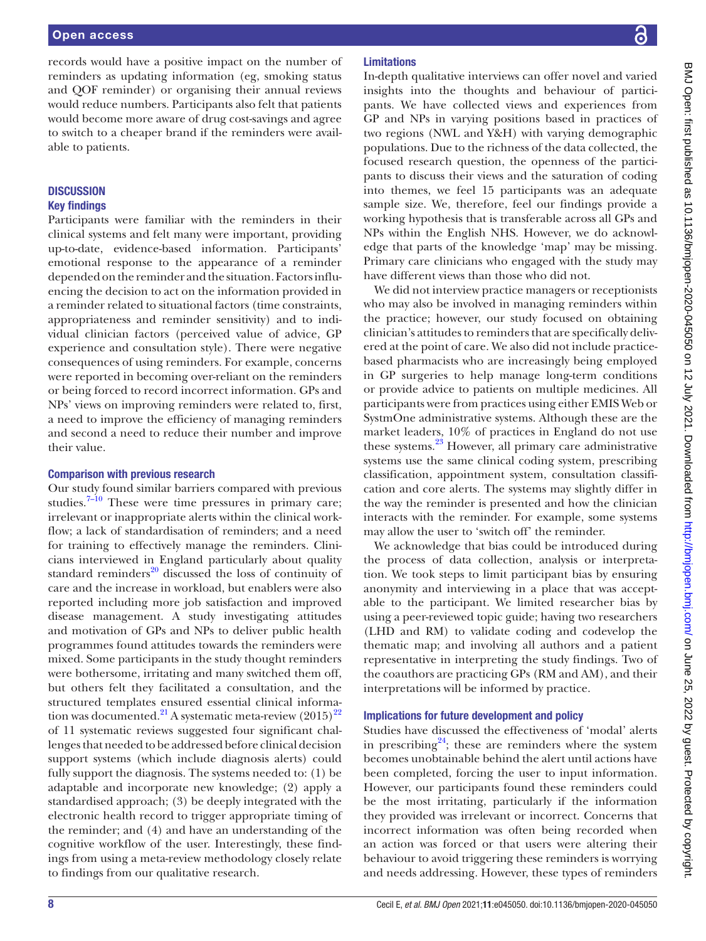records would have a positive impact on the number of reminders as updating information (eg, smoking status and QOF reminder) or organising their annual reviews would reduce numbers. Participants also felt that patients would become more aware of drug cost-savings and agree to switch to a cheaper brand if the reminders were available to patients.

## **DISCUSSION**

#### Key findings

Participants were familiar with the reminders in their clinical systems and felt many were important, providing up-to-date, evidence-based information. Participants' emotional response to the appearance of a reminder depended on the reminder and the situation. Factors influencing the decision to act on the information provided in a reminder related to situational factors (time constraints, appropriateness and reminder sensitivity) and to individual clinician factors (perceived value of advice, GP experience and consultation style). There were negative consequences of using reminders. For example, concerns were reported in becoming over-reliant on the reminders or being forced to record incorrect information. GPs and NPs' views on improving reminders were related to, first, a need to improve the efficiency of managing reminders and second a need to reduce their number and improve their value.

#### Comparison with previous research

Our study found similar barriers compared with previous studies.<sup>7–10</sup> These were time pressures in primary care; irrelevant or inappropriate alerts within the clinical workflow; a lack of standardisation of reminders; and a need for training to effectively manage the reminders. Clinicians interviewed in England particularly about quality standard reminders $^{20}$  discussed the loss of continuity of care and the increase in workload, but enablers were also reported including more job satisfaction and improved disease management. A study investigating attitudes and motivation of GPs and NPs to deliver public health programmes found attitudes towards the reminders were mixed. Some participants in the study thought reminders were bothersome, irritating and many switched them off, but others felt they facilitated a consultation, and the structured templates ensured essential clinical information was documented.<sup>21</sup> A systematic meta-review  $(2015)^{22}$ of 11 systematic reviews suggested four significant challenges that needed to be addressed before clinical decision support systems (which include diagnosis alerts) could fully support the diagnosis. The systems needed to: (1) be adaptable and incorporate new knowledge; (2) apply a standardised approach; (3) be deeply integrated with the electronic health record to trigger appropriate timing of the reminder; and (4) and have an understanding of the cognitive workflow of the user. Interestingly, these findings from using a meta-review methodology closely relate to findings from our qualitative research.

#### Limitations

In-depth qualitative interviews can offer novel and varied insights into the thoughts and behaviour of participants. We have collected views and experiences from GP and NPs in varying positions based in practices of two regions (NWL and Y&H) with varying demographic populations. Due to the richness of the data collected, the focused research question, the openness of the participants to discuss their views and the saturation of coding into themes, we feel 15 participants was an adequate sample size. We, therefore, feel our findings provide a working hypothesis that is transferable across all GPs and NPs within the English NHS. However, we do acknowledge that parts of the knowledge 'map' may be missing. Primary care clinicians who engaged with the study may have different views than those who did not.

We did not interview practice managers or receptionists who may also be involved in managing reminders within the practice; however, our study focused on obtaining clinician's attitudes to reminders that are specifically delivered at the point of care. We also did not include practicebased pharmacists who are increasingly being employed in GP surgeries to help manage long-term conditions or provide advice to patients on multiple medicines. All participants were from practices using either EMIS Web or SystmOne administrative systems. Although these are the market leaders, 10% of practices in England do not use these systems.<sup>23</sup> However, all primary care administrative systems use the same clinical coding system, prescribing classification, appointment system, consultation classification and core alerts. The systems may slightly differ in the way the reminder is presented and how the clinician interacts with the reminder. For example, some systems may allow the user to 'switch off' the reminder.

We acknowledge that bias could be introduced during the process of data collection, analysis or interpretation. We took steps to limit participant bias by ensuring anonymity and interviewing in a place that was acceptable to the participant. We limited researcher bias by using a peer-reviewed topic guide; having two researchers (LHD and RM) to validate coding and codevelop the thematic map; and involving all authors and a patient representative in interpreting the study findings. Two of the coauthors are practicing GPs (RM and AM), and their interpretations will be informed by practice.

#### Implications for future development and policy

Studies have discussed the effectiveness of 'modal' alerts in prescribing<sup>24</sup>; these are reminders where the system becomes unobtainable behind the alert until actions have been completed, forcing the user to input information. However, our participants found these reminders could be the most irritating, particularly if the information they provided was irrelevant or incorrect. Concerns that incorrect information was often being recorded when an action was forced or that users were altering their behaviour to avoid triggering these reminders is worrying and needs addressing. However, these types of reminders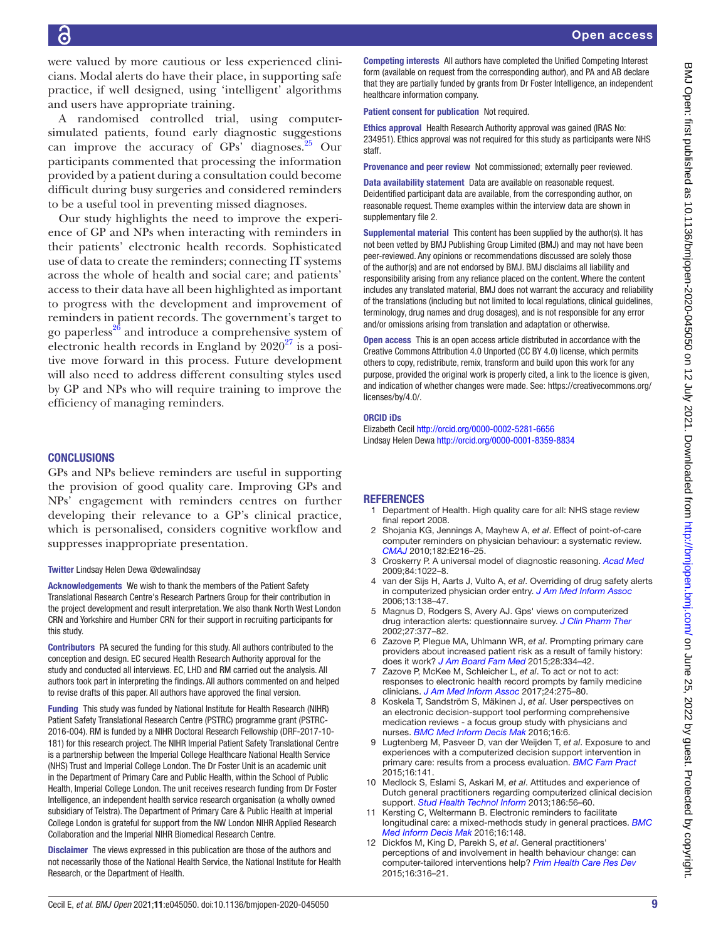were valued by more cautious or less experienced clinicians. Modal alerts do have their place, in supporting safe practice, if well designed, using 'intelligent' algorithms and users have appropriate training.

A randomised controlled trial, using computersimulated patients, found early diagnostic suggestions can improve the accuracy of  $\text{GPs}'$  diagnoses. <sup>25</sup> Our participants commented that processing the information provided by a patient during a consultation could become difficult during busy surgeries and considered reminders to be a useful tool in preventing missed diagnoses.

Our study highlights the need to improve the experience of GP and NPs when interacting with reminders in their patients' electronic health records. Sophisticated use of data to create the reminders; connecting IT systems across the whole of health and social care; and patients' access to their data have all been highlighted as important to progress with the development and improvement of reminders in patient records. The government's target to go paperless $^{26}$  and introduce a comprehensive system of electronic health records in England by  $2020^{27}$  is a positive move forward in this process. Future development will also need to address different consulting styles used by GP and NPs who will require training to improve the efficiency of managing reminders.

#### **CONCLUSIONS**

GPs and NPs believe reminders are useful in supporting the provision of good quality care. Improving GPs and NPs' engagement with reminders centres on further developing their relevance to a GP's clinical practice, which is personalised, considers cognitive workflow and suppresses inappropriate presentation.

#### Twitter Lindsay Helen Dewa [@dewalindsay](https://twitter.com/dewalindsay)

Acknowledgements We wish to thank the members of the Patient Safety Translational Research Centre's Research Partners Group for their contribution in the project development and result interpretation. We also thank North West London CRN and Yorkshire and Humber CRN for their support in recruiting participants for this study.

Contributors PA secured the funding for this study. All authors contributed to the conception and design. EC secured Health Research Authority approval for the study and conducted all interviews. EC, LHD and RM carried out the analysis. All authors took part in interpreting the findings. All authors commented on and helped to revise drafts of this paper. All authors have approved the final version.

Funding This study was funded by National Institute for Health Research (NIHR) Patient Safety Translational Research Centre (PSTRC) programme grant (PSTRC-2016-004). RM is funded by a NIHR Doctoral Research Fellowship (DRF-2017-10- 181) for this research project. The NIHR Imperial Patient Safety Translational Centre is a partnership between the Imperial College Healthcare National Health Service (NHS) Trust and Imperial College London. The Dr Foster Unit is an academic unit in the Department of Primary Care and Public Health, within the School of Public Health, Imperial College London. The unit receives research funding from Dr Foster Intelligence, an independent health service research organisation (a wholly owned subsidiary of Telstra). The Department of Primary Care & Public Health at Imperial College London is grateful for support from the NW London NIHR Applied Research Collaboration and the Imperial NIHR Biomedical Research Centre.

Disclaimer The views expressed in this publication are those of the authors and not necessarily those of the National Health Service, the National Institute for Health Research, or the Department of Health.

Competing interests All authors have completed the Unified Competing Interest form (available on request from the corresponding author), and PA and AB declare that they are partially funded by grants from Dr Foster Intelligence, an independent healthcare information company.

Patient consent for publication Not required.

Ethics approval Health Research Authority approval was gained (IRAS No: 234951). Ethics approval was not required for this study as participants were NHS staff.

Provenance and peer review Not commissioned; externally peer reviewed.

Data availability statement Data are available on reasonable request. Deidentified participant data are available, from the corresponding author, on reasonable request. Theme examples within the interview data are shown in supplementary file 2.

Supplemental material This content has been supplied by the author(s). It has not been vetted by BMJ Publishing Group Limited (BMJ) and may not have been peer-reviewed. Any opinions or recommendations discussed are solely those of the author(s) and are not endorsed by BMJ. BMJ disclaims all liability and responsibility arising from any reliance placed on the content. Where the content includes any translated material, BMJ does not warrant the accuracy and reliability of the translations (including but not limited to local regulations, clinical guidelines, terminology, drug names and drug dosages), and is not responsible for any error and/or omissions arising from translation and adaptation or otherwise.

Open access This is an open access article distributed in accordance with the Creative Commons Attribution 4.0 Unported (CC BY 4.0) license, which permits others to copy, redistribute, remix, transform and build upon this work for any purpose, provided the original work is properly cited, a link to the licence is given, and indication of whether changes were made. See: [https://creativecommons.org/](https://creativecommons.org/licenses/by/4.0/) [licenses/by/4.0/](https://creativecommons.org/licenses/by/4.0/).

#### ORCID iDs

Elizabeth Cecil <http://orcid.org/0000-0002-5281-6656> Lindsay Helen Dewa <http://orcid.org/0000-0001-8359-8834>

## REFERENCES

- <span id="page-8-0"></span>Department of Health. High quality care for all: NHS stage review final report 2008.
- <span id="page-8-1"></span>2 Shojania KG, Jennings A, Mayhew A, *et al*. Effect of point-of-care computer reminders on physician behaviour: a systematic review. *[CMAJ](http://dx.doi.org/10.1503/cmaj.090578)* 2010;182:E216–25.
- <span id="page-8-2"></span>3 Croskerry P. A universal model of diagnostic reasoning. *[Acad Med](http://dx.doi.org/10.1097/ACM.0b013e3181ace703)* 2009;84:1022–8.
- <span id="page-8-3"></span>4 van der Sijs H, Aarts J, Vulto A, *et al*. Overriding of drug safety alerts in computerized physician order entry. *[J Am Med Inform Assoc](http://dx.doi.org/10.1197/jamia.M1809)* 2006;13:138–47.
- <span id="page-8-4"></span>5 Magnus D, Rodgers S, Avery AJ. Gps' views on computerized drug interaction alerts: questionnaire survey. *[J Clin Pharm Ther](http://dx.doi.org/10.1046/j.1365-2710.2002.00434.x)* 2002;27:377–82.
- <span id="page-8-5"></span>6 Zazove P, Plegue MA, Uhlmann WR, *et al*. Prompting primary care providers about increased patient risk as a result of family history: does it work? *[J Am Board Fam Med](http://dx.doi.org/10.3122/jabfm.2015.03.140149)* 2015;28:334–42.
- <span id="page-8-7"></span>7 Zazove P, McKee M, Schleicher L, *et al*. To act or not to act: responses to electronic health record prompts by family medicine clinicians. *[J Am Med Inform Assoc](http://dx.doi.org/10.1093/jamia/ocw178)* 2017;24:275–80.
- <span id="page-8-6"></span>8 Koskela T, Sandström S, Mäkinen J, *et al*. User perspectives on an electronic decision-support tool performing comprehensive medication reviews - a focus group study with physicians and nurses. *[BMC Med Inform Decis Mak](http://dx.doi.org/10.1186/s12911-016-0245-z)* 2016;16:6.
- 9 Lugtenberg M, Pasveer D, van der Weijden T, *et al*. Exposure to and experiences with a computerized decision support intervention in primary care: results from a process evaluation. *[BMC Fam Pract](http://dx.doi.org/10.1186/s12875-015-0364-0)* 2015;16:141.
- 10 Medlock S, Eslami S, Askari M, *et al*. Attitudes and experience of Dutch general practitioners regarding computerized clinical decision support. *[Stud Health Technol Inform](http://www.ncbi.nlm.nih.gov/pubmed/23542967)* 2013;186:56–60.
- Kersting C, Weltermann B. Electronic reminders to facilitate longitudinal care: a mixed-methods study in general practices. *[BMC](http://dx.doi.org/10.1186/s12911-016-0387-z)  [Med Inform Decis Mak](http://dx.doi.org/10.1186/s12911-016-0387-z)* 2016;16:148.
- 12 Dickfos M, King D, Parekh S, *et al*. General practitioners' perceptions of and involvement in health behaviour change: can computer-tailored interventions help? *[Prim Health Care Res Dev](http://dx.doi.org/10.1017/S1463423614000498)* 2015;16:316–21.